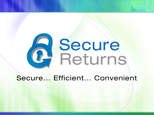# **A** Secure

Secure... Efficient... Convenient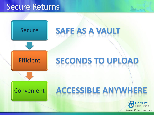# Secure Returns



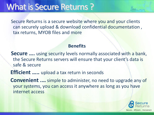# What is Secure Returns ?

Secure Returns is a secure website where you and your clients can securely upload & download confidential documentation , tax returns, MYOB files and more

#### **Benefits**

**Secure ....** using security levels normally associated with a bank, the Secure Returns servers will ensure that your client's data is safe & secure

**Efficient …..** upload a tax return in seconds

**Convenient .…** simple to administer, no need to upgrade any of your systems, you can access it anywhere as long as you have internet access

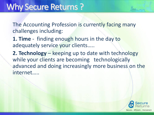The Accounting Profession is currently facing many challenges including:

**1. Time** - finding enough hours in the day to adequately service your clients…..

**2. Technology** – keeping up to date with technology while your clients are becoming technologically advanced and doing increasingly more business on the internet…..

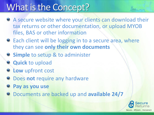# What is the Concept?

- A secure website where your clients can download their tax returns or other documentation, or upload MYOB files, BAS or other information
- $\bullet$  Each client will be logging in to a secure area, where they can see **only their own documents**
- **8 Simple** to setup & to administer
- **Quick** to upload
- **Low** upfront cost
- Does **not** require any hardware
- **Pay as you use**
- Documents are backed up and **available 24/7**

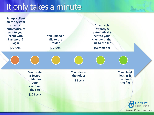# It only takes a minute

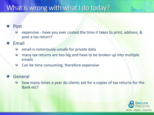# What is wrong with what I do today?

#### Post

- expensive have you ever costed the time it takes to print, address, & post a tax return?
- Email
	- email is notoriously unsafe for private data  $\bullet$
	- many tax returns are too big and have to be broken up into multiple 0 emails
	- Can be time consuming, therefore expensive  $\odot$

#### General

how many times a year do clients ask for a copies of tax returns for the  $\bullet$ Bank etc?

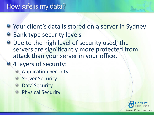# How safe is my data?

- **Your client's data is stored on a server in Sydney**
- **Bank type security levels**
- **Due to the high level of security used, the** servers are significantly more protected from attack than your server in your office.
	- 4 layers of security:
		- Application Security
		- $\Theta$ **Server Security**
		- **Data Security**
		- Physical Security $\Theta$